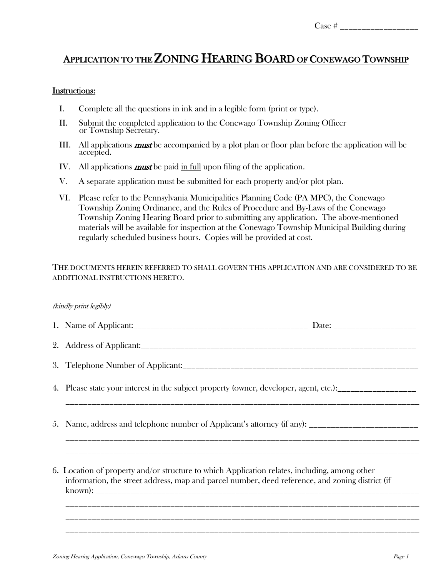## APPLICATION TO THE ZONING HEARING BOARD OF CONEWAGO TOWNSHIP

## Instructions:

- I. Complete all the questions in ink and in a legible form (print or type).
- II. Submit the completed application to the Conewago Township Zoning Officer or Township Secretary.
- III. All applications must be accompanied by a plot plan or floor plan before the application will be accepted.
- IV. All applications **must** be paid in full upon filing of the application.
- V. A separate application must be submitted for each property and/or plot plan.
- VI. Please refer to the Pennsylvania Municipalities Planning Code (PA MPC), the Conewago Township Zoning Ordinance, and the Rules of Procedure and By-Laws of the Conewago Township Zoning Hearing Board prior to submitting any application. The above-mentioned materials will be available for inspection at the Conewago Township Municipal Building during regularly scheduled business hours. Copies will be provided at cost.

## THE DOCUMENTS HEREIN REFERRED TO SHALL GOVERN THIS APPLICATION AND ARE CONSIDERED TO BE ADDITIONAL INSTRUCTIONS HERETO.

## (kindly print legibly)

| 4. Please state your interest in the subject property (owner, developer, agent, etc.):                                                                                                           |  |
|--------------------------------------------------------------------------------------------------------------------------------------------------------------------------------------------------|--|
| 5. Name, address and telephone number of Applicant's attorney (if any): ____________________________                                                                                             |  |
| 6. Location of property and/or structure to which Application relates, including, among other<br>information, the street address, map and parcel number, deed reference, and zoning district (if |  |

\_\_\_\_\_\_\_\_\_\_\_\_\_\_\_\_\_\_\_\_\_\_\_\_\_\_\_\_\_\_\_\_\_\_\_\_\_\_\_\_\_\_\_\_\_\_\_\_\_\_\_\_\_\_\_\_\_\_\_\_\_\_\_\_\_\_\_\_\_\_\_\_\_\_\_\_\_\_\_\_\_

\_\_\_\_\_\_\_\_\_\_\_\_\_\_\_\_\_\_\_\_\_\_\_\_\_\_\_\_\_\_\_\_\_\_\_\_\_\_\_\_\_\_\_\_\_\_\_\_\_\_\_\_\_\_\_\_\_\_\_\_\_\_\_\_\_\_\_\_\_\_\_\_\_\_\_\_\_\_\_\_\_

\_\_\_\_\_\_\_\_\_\_\_\_\_\_\_\_\_\_\_\_\_\_\_\_\_\_\_\_\_\_\_\_\_\_\_\_\_\_\_\_\_\_\_\_\_\_\_\_\_\_\_\_\_\_\_\_\_\_\_\_\_\_\_\_\_\_\_\_\_\_\_\_\_\_\_\_\_\_\_\_\_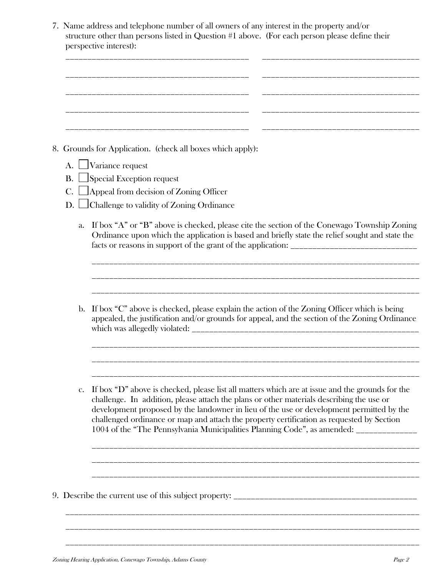7. Name address and telephone number of all owners of any interest in the property and/or structure other than persons listed in Question #1 above. (For each person please define their perspective interest):

|                 | 8. Grounds for Application. (check all boxes which apply):                                                                                                                                                                                                                                                                                                                                                                                                                      |
|-----------------|---------------------------------------------------------------------------------------------------------------------------------------------------------------------------------------------------------------------------------------------------------------------------------------------------------------------------------------------------------------------------------------------------------------------------------------------------------------------------------|
| A.<br><b>B.</b> | Variance request<br>$\Box$ Special Exception request                                                                                                                                                                                                                                                                                                                                                                                                                            |
|                 | $\Box$ Appeal from decision of Zoning Officer                                                                                                                                                                                                                                                                                                                                                                                                                                   |
| D.              | $\Box$ Challenge to validity of Zoning Ordinance                                                                                                                                                                                                                                                                                                                                                                                                                                |
| a.              | If box "A" or "B" above is checked, please cite the section of the Conewago Township Zoning<br>Ordinance upon which the application is based and briefly state the relief sought and state the                                                                                                                                                                                                                                                                                  |
| $\mathbf{b}$ .  | If box "C" above is checked, please explain the action of the Zoning Officer which is being<br>appealed, the justification and/or grounds for appeal, and the section of the Zoning Ordinance                                                                                                                                                                                                                                                                                   |
| $\mathbf{c}$ .  | If box "D" above is checked, please list all matters which are at issue and the grounds for the<br>challenge. In addition, please attach the plans or other materials describing the use or<br>development proposed by the landowner in lieu of the use or development permitted by the<br>challenged ordinance or map and attach the property certification as requested by Section<br>1004 of the "The Pennsylvania Municipalities Planning Code", as amended: ______________ |
|                 |                                                                                                                                                                                                                                                                                                                                                                                                                                                                                 |